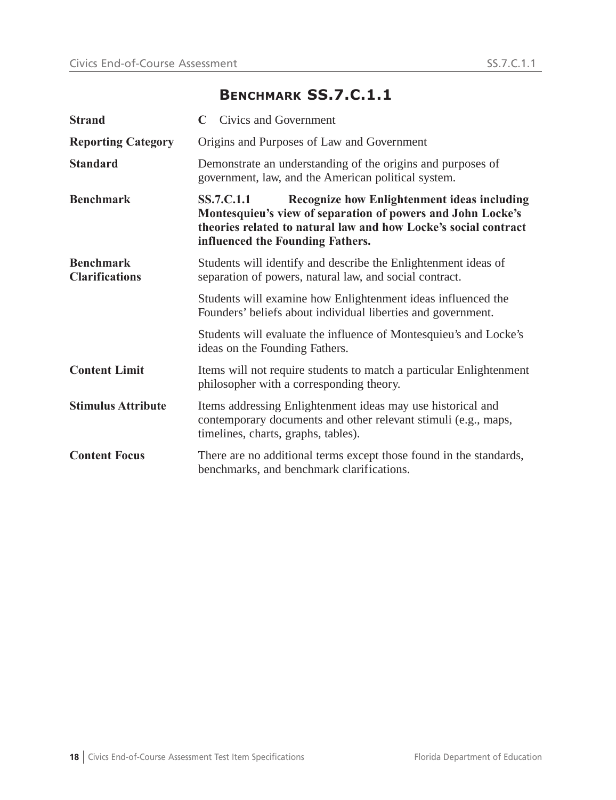## **BENCHMARK SS.7.C.1.1**

| <b>Strand</b>                             | Civics and Government<br>$\mathbf C$                                                                                                                                                                                                          |  |  |  |  |  |  |
|-------------------------------------------|-----------------------------------------------------------------------------------------------------------------------------------------------------------------------------------------------------------------------------------------------|--|--|--|--|--|--|
| <b>Reporting Category</b>                 | Origins and Purposes of Law and Government                                                                                                                                                                                                    |  |  |  |  |  |  |
| <b>Standard</b>                           | Demonstrate an understanding of the origins and purposes of<br>government, law, and the American political system.                                                                                                                            |  |  |  |  |  |  |
| <b>Benchmark</b>                          | <b>Recognize how Enlightenment ideas including</b><br><b>SS.7.C.1.1</b><br>Montesquieu's view of separation of powers and John Locke's<br>theories related to natural law and how Locke's social contract<br>influenced the Founding Fathers. |  |  |  |  |  |  |
| <b>Benchmark</b><br><b>Clarifications</b> | Students will identify and describe the Enlightenment ideas of<br>separation of powers, natural law, and social contract.                                                                                                                     |  |  |  |  |  |  |
|                                           | Students will examine how Enlightenment ideas influenced the<br>Founders' beliefs about individual liberties and government.                                                                                                                  |  |  |  |  |  |  |
|                                           | Students will evaluate the influence of Montesquieu's and Locke's<br>ideas on the Founding Fathers.                                                                                                                                           |  |  |  |  |  |  |
| <b>Content Limit</b>                      | Items will not require students to match a particular Enlightenment<br>philosopher with a corresponding theory.                                                                                                                               |  |  |  |  |  |  |
| <b>Stimulus Attribute</b>                 | Items addressing Enlightenment ideas may use historical and<br>contemporary documents and other relevant stimuli (e.g., maps,<br>timelines, charts, graphs, tables).                                                                          |  |  |  |  |  |  |
| <b>Content Focus</b>                      | There are no additional terms except those found in the standards,<br>benchmarks, and benchmark clarifications.                                                                                                                               |  |  |  |  |  |  |